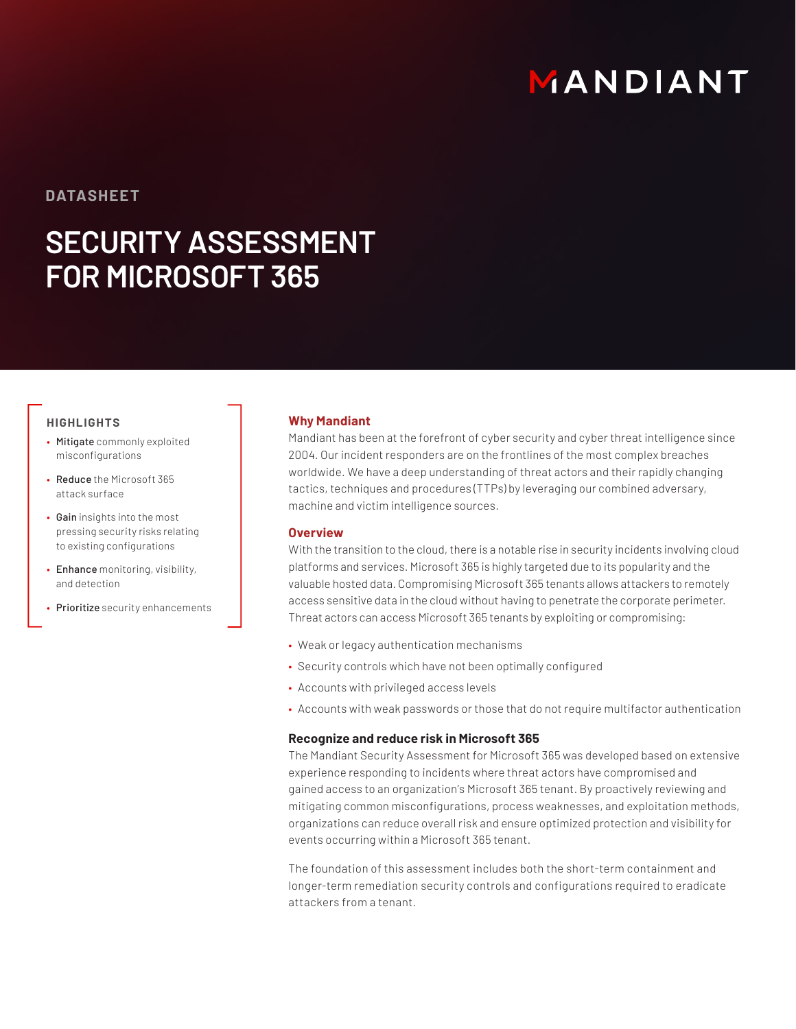# MANDIANT

## **DATASHEET**

# **SECURITY ASSESSMENT FOR MICROSOFT 365**

### **HIGHLIGHTS**

- Mitigate commonly exploited misconfigurations
- Reduce the Microsoft 365 attack surface
- Gain insights into the most pressing security risks relating to existing configurations
- Enhance monitoring, visibility, and detection
- Prioritize security enhancements

#### **Why Mandiant**

Mandiant has been at the forefront of cyber security and cyber threat intelligence since 2004. Our incident responders are on the frontlines of the most complex breaches worldwide. We have a deep understanding of threat actors and their rapidly changing tactics, techniques and procedures (TTPs) by leveraging our combined adversary, machine and victim intelligence sources.

#### **Overview**

With the transition to the cloud, there is a notable rise in security incidents involving cloud platforms and services. Microsoft 365 is highly targeted due to its popularity and the valuable hosted data. Compromising Microsoft 365 tenants allows attackers to remotely access sensitive data in the cloud without having to penetrate the corporate perimeter. Threat actors can access Microsoft 365 tenants by exploiting or compromising:

- Weak or legacy authentication mechanisms
- Security controls which have not been optimally configured
- Accounts with privileged access levels
- Accounts with weak passwords or those that do not require multifactor authentication

#### **Recognize and reduce risk in Microsoft 365**

The Mandiant Security Assessment for Microsoft 365 was developed based on extensive experience responding to incidents where threat actors have compromised and gained access to an organization's Microsoft 365 tenant. By proactively reviewing and mitigating common misconfigurations, process weaknesses, and exploitation methods, organizations can reduce overall risk and ensure optimized protection and visibility for events occurring within a Microsoft 365 tenant.

The foundation of this assessment includes both the short-term containment and longer-term remediation security controls and configurations required to eradicate attackers from a tenant.